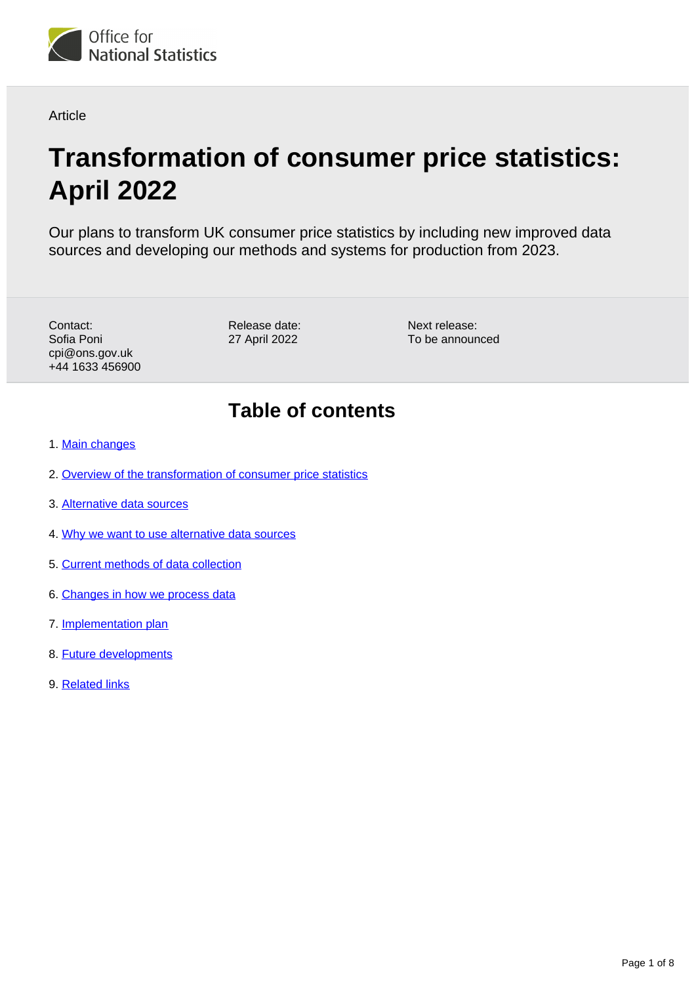

**Article** 

# **Transformation of consumer price statistics: April 2022**

Our plans to transform UK consumer price statistics by including new improved data sources and developing our methods and systems for production from 2023.

| Contact:        |
|-----------------|
| Sofia Poni      |
| cpi@ons.gov.uk  |
| +44 1633 456900 |

Release date: 27 April 2022

Next release: To be announced

## **Table of contents**

- 1. [Main changes](#page-1-0)
- 2. [Overview of the transformation of consumer price statistics](#page-1-1)
- 3. [Alternative data sources](#page-1-2)
- 4. [Why we want to use alternative data sources](#page-3-0)
- 5. [Current methods of data collection](#page-4-0)
- 6. [Changes in how we process data](#page-4-1)
- 7. [Implementation plan](#page-4-2)
- 8. [Future developments](#page-5-0)
- 9. [Related links](#page-7-0)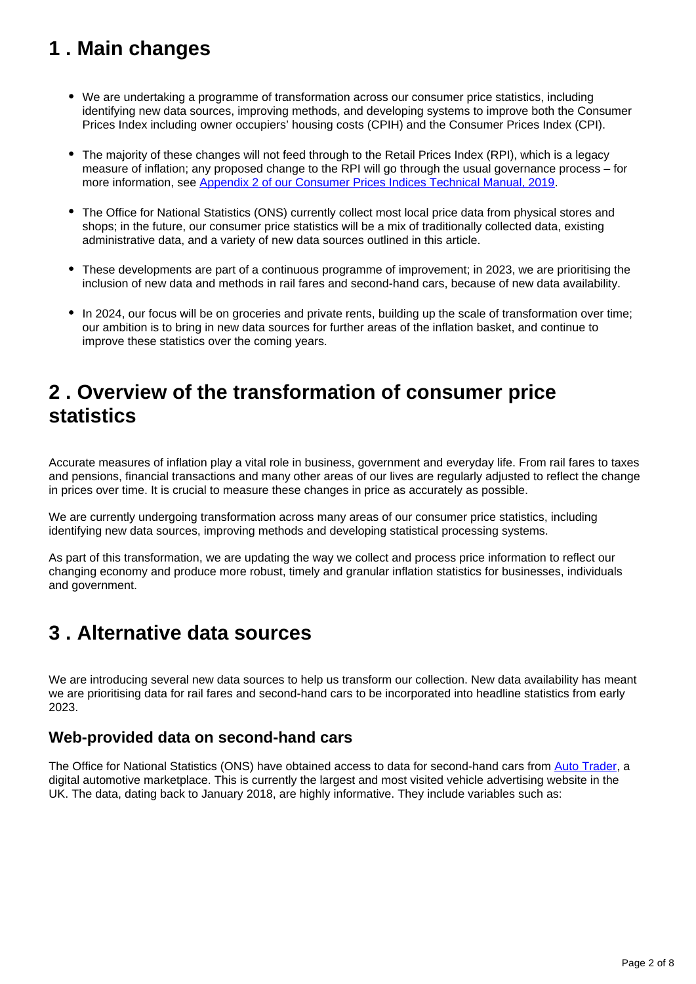## <span id="page-1-0"></span>**1 . Main changes**

- We are undertaking a programme of transformation across our consumer price statistics, including identifying new data sources, improving methods, and developing systems to improve both the Consumer Prices Index including owner occupiers' housing costs (CPIH) and the Consumer Prices Index (CPI).
- The majority of these changes will not feed through to the Retail Prices Index (RPI), which is a legacy measure of inflation; any proposed change to the RPI will go through the usual governance process – for more information, see [Appendix 2 of our Consumer Prices Indices Technical Manual, 2019.](https://www.ons.gov.uk/economy/inflationandpriceindices/methodologies/consumerpricesindicestechnicalmanual2019#appendix-2-abridged-characteristics-of-the-different-measures-of-consumer-price-inflation)
- The Office for National Statistics (ONS) currently collect most local price data from physical stores and shops; in the future, our consumer price statistics will be a mix of traditionally collected data, existing administrative data, and a variety of new data sources outlined in this article.
- These developments are part of a continuous programme of improvement; in 2023, we are prioritising the inclusion of new data and methods in rail fares and second-hand cars, because of new data availability.
- In 2024, our focus will be on groceries and private rents, building up the scale of transformation over time; our ambition is to bring in new data sources for further areas of the inflation basket, and continue to improve these statistics over the coming years.

## <span id="page-1-1"></span>**2 . Overview of the transformation of consumer price statistics**

Accurate measures of inflation play a vital role in business, government and everyday life. From rail fares to taxes and pensions, financial transactions and many other areas of our lives are regularly adjusted to reflect the change in prices over time. It is crucial to measure these changes in price as accurately as possible.

We are currently undergoing transformation across many areas of our consumer price statistics, including identifying new data sources, improving methods and developing statistical processing systems.

As part of this transformation, we are updating the way we collect and process price information to reflect our changing economy and produce more robust, timely and granular inflation statistics for businesses, individuals and government.

## <span id="page-1-2"></span>**3 . Alternative data sources**

We are introducing several new data sources to help us transform our collection. New data availability has meant we are prioritising data for rail fares and second-hand cars to be incorporated into headline statistics from early 2023.

#### **Web-provided data on second-hand cars**

The Office for National Statistics (ONS) have obtained access to data for second-hand cars from [Auto Trader,](https://www.autotrader.co.uk/) a digital automotive marketplace. This is currently the largest and most visited vehicle advertising website in the UK. The data, dating back to January 2018, are highly informative. They include variables such as: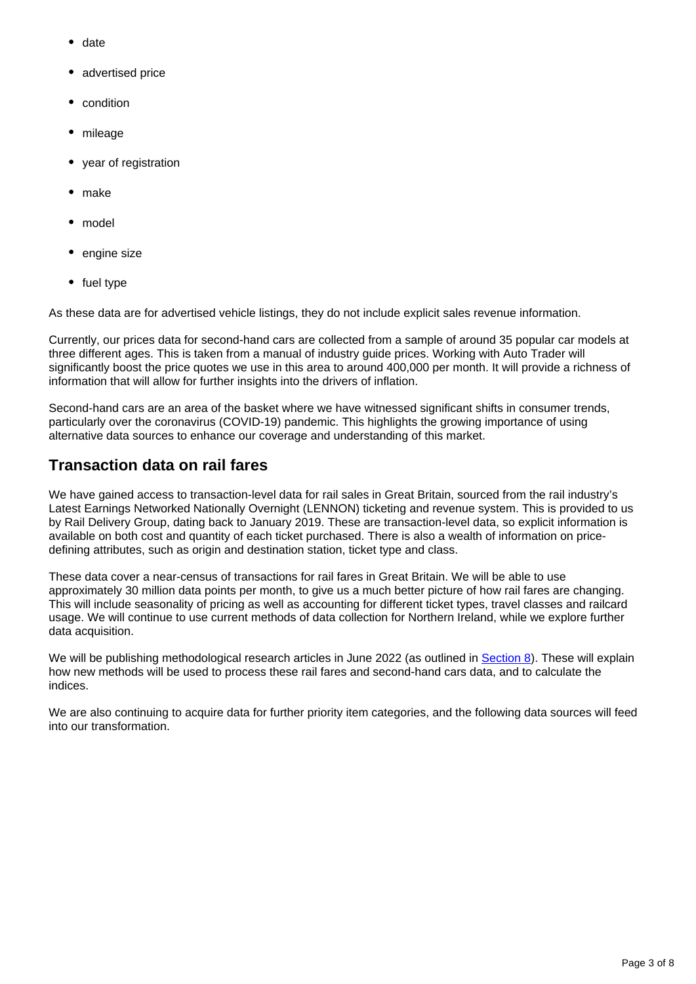- date
- advertised price
- condition
- mileage
- year of registration
- make
- model
- engine size
- fuel type

As these data are for advertised vehicle listings, they do not include explicit sales revenue information.

Currently, our prices data for second-hand cars are collected from a sample of around 35 popular car models at three different ages. This is taken from a manual of industry guide prices. Working with Auto Trader will significantly boost the price quotes we use in this area to around 400,000 per month. It will provide a richness of information that will allow for further insights into the drivers of inflation.

Second-hand cars are an area of the basket where we have witnessed significant shifts in consumer trends, particularly over the coronavirus (COVID-19) pandemic. This highlights the growing importance of using alternative data sources to enhance our coverage and understanding of this market.

#### **Transaction data on rail fares**

We have gained access to transaction-level data for rail sales in Great Britain, sourced from the rail industry's Latest Earnings Networked Nationally Overnight (LENNON) ticketing and revenue system. This is provided to us by Rail Delivery Group, dating back to January 2019. These are transaction-level data, so explicit information is available on both cost and quantity of each ticket purchased. There is also a wealth of information on pricedefining attributes, such as origin and destination station, ticket type and class.

These data cover a near-census of transactions for rail fares in Great Britain. We will be able to use approximately 30 million data points per month, to give us a much better picture of how rail fares are changing. This will include seasonality of pricing as well as accounting for different ticket types, travel classes and railcard usage. We will continue to use current methods of data collection for Northern Ireland, while we explore further data acquisition.

We will be publishing methodological research articles in June 2022 (as outlined in [Section 8](https://www.ons.gov.uk/economy/inflationandpriceindices/articles/introducingalternativedatasourcesintoconsumerpricestatistics/april2022#future-developments)). These will explain how new methods will be used to process these rail fares and second-hand cars data, and to calculate the indices.

We are also continuing to acquire data for further priority item categories, and the following data sources will feed into our transformation.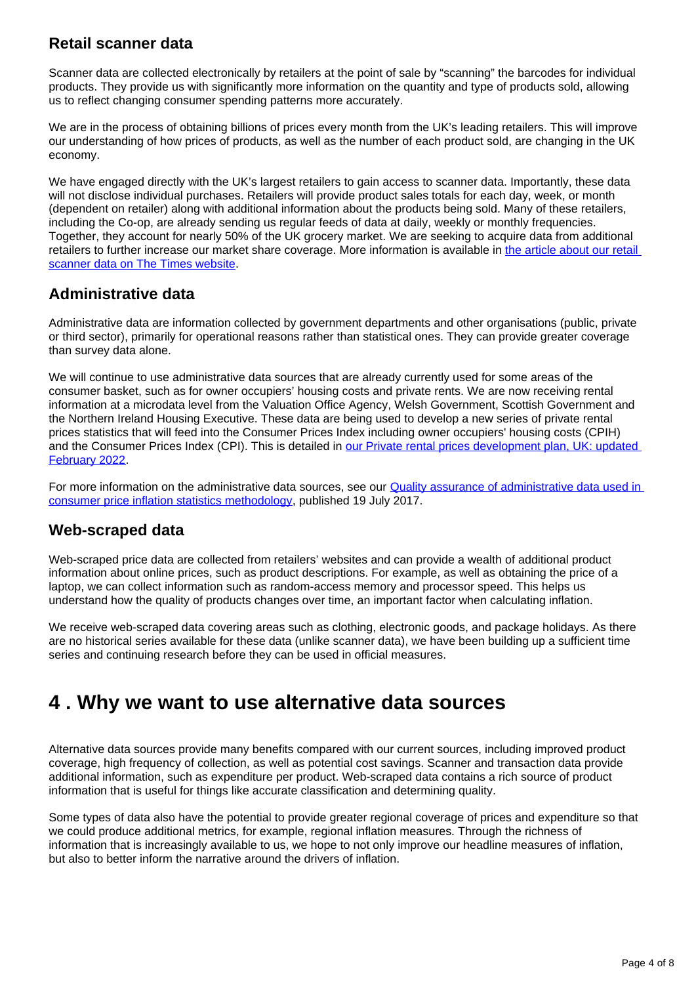### **Retail scanner data**

Scanner data are collected electronically by retailers at the point of sale by "scanning" the barcodes for individual products. They provide us with significantly more information on the quantity and type of products sold, allowing us to reflect changing consumer spending patterns more accurately.

We are in the process of obtaining billions of prices every month from the UK's leading retailers. This will improve our understanding of how prices of products, as well as the number of each product sold, are changing in the UK economy.

We have engaged directly with the UK's largest retailers to gain access to scanner data. Importantly, these data will not disclose individual purchases. Retailers will provide product sales totals for each day, week, or month (dependent on retailer) along with additional information about the products being sold. Many of these retailers, including the Co-op, are already sending us regular feeds of data at daily, weekly or monthly frequencies. Together, they account for nearly 50% of the UK grocery market. We are seeking to acquire data from additional retailers to further increase our market share coverage. More information is available in [the article about our retail](https://www.thetimes.co.uk/article/ons-to-gather-inflation-data-from-supermarket-checkout-scanners-5nzgxmm2g)  [scanner data on The Times website.](https://www.thetimes.co.uk/article/ons-to-gather-inflation-data-from-supermarket-checkout-scanners-5nzgxmm2g)

#### **Administrative data**

Administrative data are information collected by government departments and other organisations (public, private or third sector), primarily for operational reasons rather than statistical ones. They can provide greater coverage than survey data alone.

We will continue to use administrative data sources that are already currently used for some areas of the consumer basket, such as for owner occupiers' housing costs and private rents. We are now receiving rental information at a microdata level from the Valuation Office Agency, Welsh Government, Scottish Government and the Northern Ireland Housing Executive. These data are being used to develop a new series of private rental prices statistics that will feed into the Consumer Prices Index including owner occupiers' housing costs (CPIH) and the Consumer Prices Index (CPI). This is detailed in [our Private rental prices development plan, UK: updated](https://www.ons.gov.uk/peoplepopulationandcommunity/housing/articles/privaterentalpricesdevelopmentplan/updatedfebruary2022)  [February 2022.](https://www.ons.gov.uk/peoplepopulationandcommunity/housing/articles/privaterentalpricesdevelopmentplan/updatedfebruary2022)

For more information on the administrative data sources, see our **Quality assurance of administrative data used in** [consumer price inflation statistics methodology](https://www.ons.gov.uk/economy/inflationandpriceindices/methodologies/qualityassuranceofadministrativedatausedincpih), published 19 July 2017.

#### **Web-scraped data**

Web-scraped price data are collected from retailers' websites and can provide a wealth of additional product information about online prices, such as product descriptions. For example, as well as obtaining the price of a laptop, we can collect information such as random-access memory and processor speed. This helps us understand how the quality of products changes over time, an important factor when calculating inflation.

We receive web-scraped data covering areas such as clothing, electronic goods, and package holidays. As there are no historical series available for these data (unlike scanner data), we have been building up a sufficient time series and continuing research before they can be used in official measures.

### <span id="page-3-0"></span>**4 . Why we want to use alternative data sources**

Alternative data sources provide many benefits compared with our current sources, including improved product coverage, high frequency of collection, as well as potential cost savings. Scanner and transaction data provide additional information, such as expenditure per product. Web-scraped data contains a rich source of product information that is useful for things like accurate classification and determining quality.

Some types of data also have the potential to provide greater regional coverage of prices and expenditure so that we could produce additional metrics, for example, regional inflation measures. Through the richness of information that is increasingly available to us, we hope to not only improve our headline measures of inflation, but also to better inform the narrative around the drivers of inflation.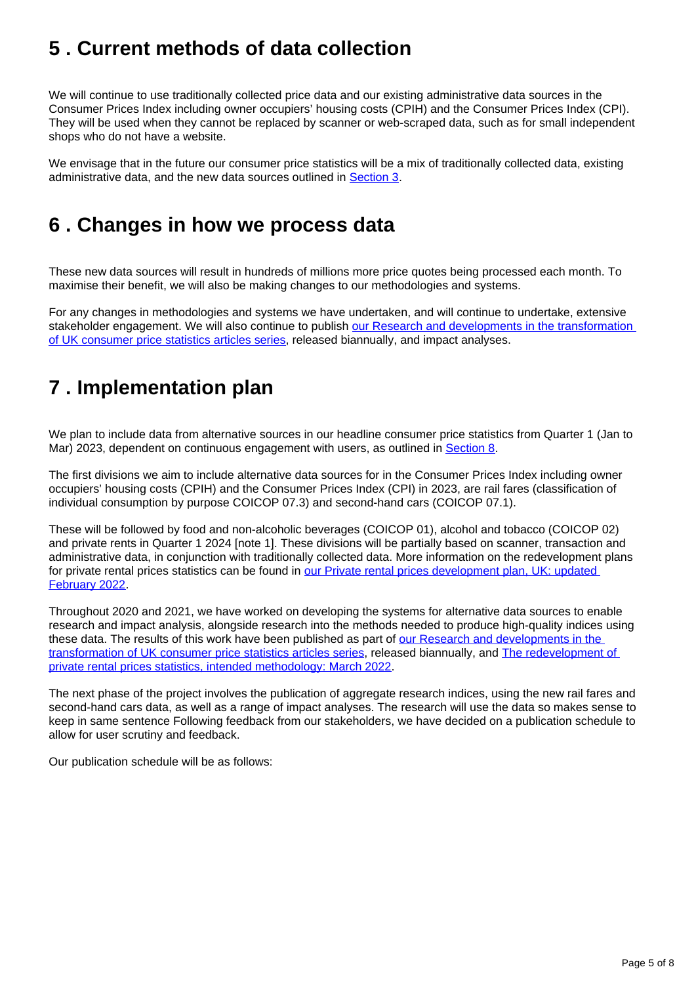## <span id="page-4-0"></span>**5 . Current methods of data collection**

We will continue to use traditionally collected price data and our existing administrative data sources in the Consumer Prices Index including owner occupiers' housing costs (CPIH) and the Consumer Prices Index (CPI). They will be used when they cannot be replaced by scanner or web-scraped data, such as for small independent shops who do not have a website.

We envisage that in the future our consumer price statistics will be a mix of traditionally collected data, existing administrative data, and the new data sources outlined in [Section 3](https://www.ons.gov.uk/economy/inflationandpriceindices/articles/introducingalternativedatasourcesintoconsumerpricestatistics/april2022#alternative-data-sources).

## <span id="page-4-1"></span>**6 . Changes in how we process data**

These new data sources will result in hundreds of millions more price quotes being processed each month. To maximise their benefit, we will also be making changes to our methodologies and systems.

For any changes in methodologies and systems we have undertaken, and will continue to undertake, extensive stakeholder engagement. We will also continue to publish our Research and developments in the transformation [of UK consumer price statistics articles series,](https://www.ons.gov.uk/economy/inflationandpriceindices/articles/researchanddevelopmentsinthetransformationofukconsumerpricestatistics/previousReleases) released biannually, and impact analyses.

## <span id="page-4-2"></span>**7 . Implementation plan**

We plan to include data from alternative sources in our headline consumer price statistics from Quarter 1 (Jan to Mar) 2023, dependent on continuous engagement with users, as outlined in [Section 8.](https://www.ons.gov.uk/economy/inflationandpriceindices/articles/introducingalternativedatasourcesintoconsumerpricestatistics/april2022#future-developments)

The first divisions we aim to include alternative data sources for in the Consumer Prices Index including owner occupiers' housing costs (CPIH) and the Consumer Prices Index (CPI) in 2023, are rail fares (classification of individual consumption by purpose COICOP 07.3) and second-hand cars (COICOP 07.1).

These will be followed by food and non-alcoholic beverages (COICOP 01), alcohol and tobacco (COICOP 02) and private rents in Quarter 1 2024 [note 1]. These divisions will be partially based on scanner, transaction and administrative data, in conjunction with traditionally collected data. More information on the redevelopment plans for private rental prices statistics can be found in our Private rental prices development plan, UK: updated [February 2022.](https://www.ons.gov.uk/peoplepopulationandcommunity/housing/articles/privaterentalpricesdevelopmentplan/updatedfebruary2022)

Throughout 2020 and 2021, we have worked on developing the systems for alternative data sources to enable research and impact analysis, alongside research into the methods needed to produce high-quality indices using these data. The results of this work have been published as part of [our Research and developments in the](https://www.ons.gov.uk/economy/inflationandpriceindices/articles/researchanddevelopmentsinthetransformationofukconsumerpricestatistics/previousReleases)  [transformation of UK consumer price statistics articles series,](https://www.ons.gov.uk/economy/inflationandpriceindices/articles/researchanddevelopmentsinthetransformationofukconsumerpricestatistics/previousReleases) released biannually, and [The redevelopment of](https://www.ons.gov.uk/peoplepopulationandcommunity/housing/articles/theredevelopmentofprivaterentalpricesstatisticsintendedmethodology/march2022)  [private rental prices statistics, intended methodology: March 2022.](https://www.ons.gov.uk/peoplepopulationandcommunity/housing/articles/theredevelopmentofprivaterentalpricesstatisticsintendedmethodology/march2022)

The next phase of the project involves the publication of aggregate research indices, using the new rail fares and second-hand cars data, as well as a range of impact analyses. The research will use the data so makes sense to keep in same sentence Following feedback from our stakeholders, we have decided on a publication schedule to allow for user scrutiny and feedback.

Our publication schedule will be as follows: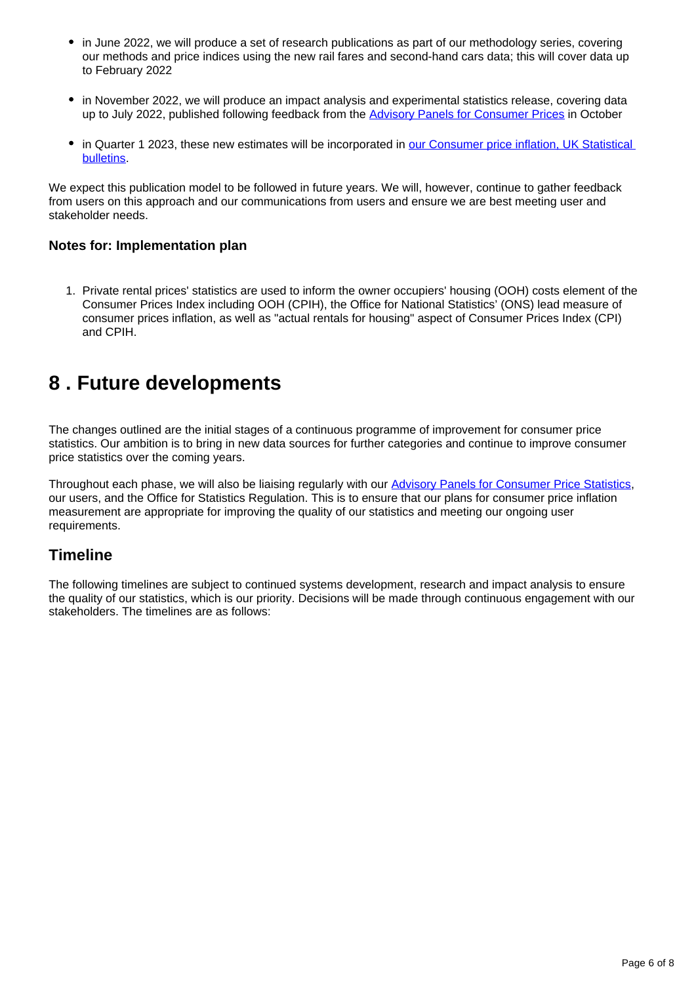- in June 2022, we will produce a set of research publications as part of our methodology series, covering our methods and price indices using the new rail fares and second-hand cars data; this will cover data up to February 2022
- in November 2022, we will produce an impact analysis and experimental statistics release, covering data up to July 2022, published following feedback from the [Advisory Panels for Consumer Prices](https://uksa.statisticsauthority.gov.uk/the-authority-board/committees/national-statisticians-advisory-committees-and-panels/advisory-panels-for-consumer-price-statistics/#:~:text=In%20June%202015%2C%20the%20UK,and%20applications%20of%20price%20indices.) in October
- in Quarter 1 2023, these new estimates will be incorporated in our Consumer price inflation, UK Statistical [bulletins.](https://www.ons.gov.uk/economy/inflationandpriceindices/bulletins/consumerpriceinflation/previousReleases)

We expect this publication model to be followed in future years. We will, however, continue to gather feedback from users on this approach and our communications from users and ensure we are best meeting user and stakeholder needs.

#### **Notes for: Implementation plan**

1. Private rental prices' statistics are used to inform the owner occupiers' housing (OOH) costs element of the Consumer Prices Index including OOH (CPIH), the Office for National Statistics' (ONS) lead measure of consumer prices inflation, as well as "actual rentals for housing" aspect of Consumer Prices Index (CPI) and CPIH.

### <span id="page-5-0"></span>**8 . Future developments**

The changes outlined are the initial stages of a continuous programme of improvement for consumer price statistics. Our ambition is to bring in new data sources for further categories and continue to improve consumer price statistics over the coming years.

Throughout each phase, we will also be liaising regularly with our [Advisory Panels for Consumer Price Statistics](https://www.statisticsauthority.gov.uk/about-the-authority/committees/advisory-panels-for-consumer-price-statistics/), our users, and the Office for Statistics Regulation. This is to ensure that our plans for consumer price inflation measurement are appropriate for improving the quality of our statistics and meeting our ongoing user requirements.

#### **Timeline**

The following timelines are subject to continued systems development, research and impact analysis to ensure the quality of our statistics, which is our priority. Decisions will be made through continuous engagement with our stakeholders. The timelines are as follows: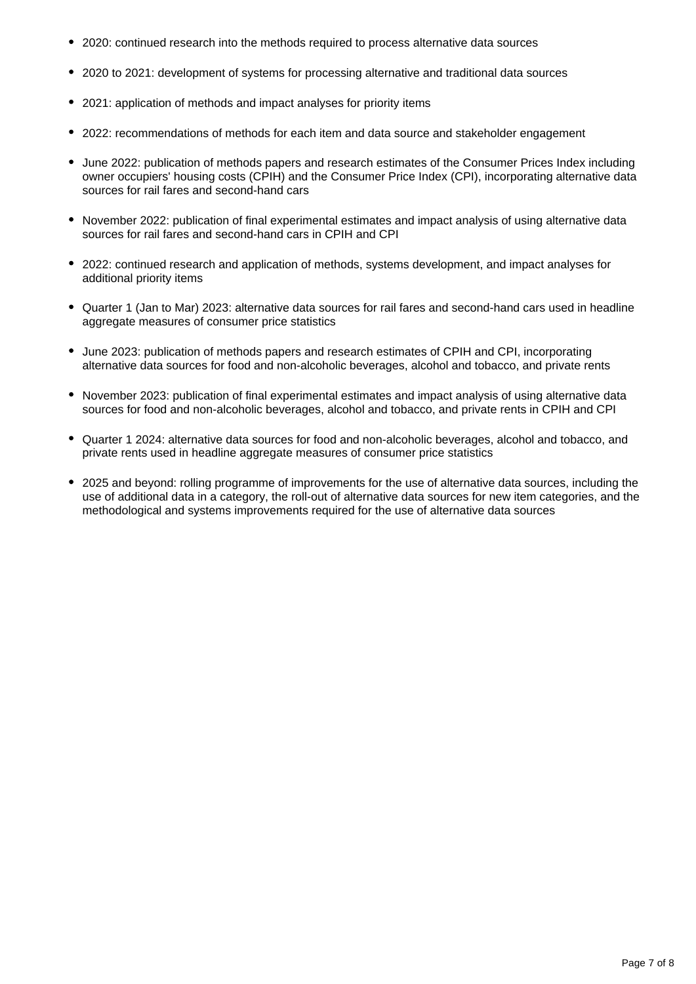- 2020: continued research into the methods required to process alternative data sources
- 2020 to 2021: development of systems for processing alternative and traditional data sources
- 2021: application of methods and impact analyses for priority items
- 2022: recommendations of methods for each item and data source and stakeholder engagement
- June 2022: publication of methods papers and research estimates of the Consumer Prices Index including owner occupiers' housing costs (CPIH) and the Consumer Price Index (CPI), incorporating alternative data sources for rail fares and second-hand cars
- November 2022: publication of final experimental estimates and impact analysis of using alternative data sources for rail fares and second-hand cars in CPIH and CPI
- 2022: continued research and application of methods, systems development, and impact analyses for additional priority items
- Quarter 1 (Jan to Mar) 2023: alternative data sources for rail fares and second-hand cars used in headline aggregate measures of consumer price statistics
- June 2023: publication of methods papers and research estimates of CPIH and CPI, incorporating alternative data sources for food and non-alcoholic beverages, alcohol and tobacco, and private rents
- November 2023: publication of final experimental estimates and impact analysis of using alternative data sources for food and non-alcoholic beverages, alcohol and tobacco, and private rents in CPIH and CPI
- Quarter 1 2024: alternative data sources for food and non-alcoholic beverages, alcohol and tobacco, and private rents used in headline aggregate measures of consumer price statistics
- 2025 and beyond: rolling programme of improvements for the use of alternative data sources, including the use of additional data in a category, the roll-out of alternative data sources for new item categories, and the methodological and systems improvements required for the use of alternative data sources